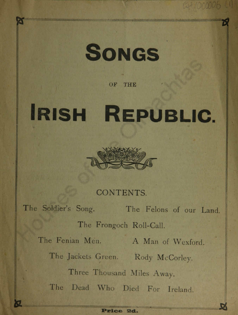

#### OF THE

# Irish Republic.



## CONTENTS.

The Soldier's Song. The Felons of our Land. The Frongoch Roll-Call. The Fenian Men. A Man of Wexford. The Jackets Green. Rody McCorley. Three Thousand Miles Away. The Dead Who Died For Ireland.

&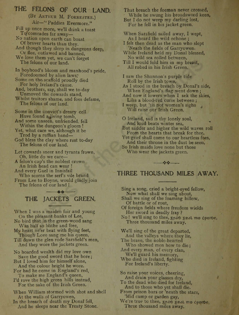## THE FELONS OF OUR LAND.

(By Arthur M. Forrester.) Air—" Paddies Evermore."

Fill up once more, we'll drink a toast To'comrades far away—

No nation upon earth can boast Of braver hearts than they.

And though they sleep in dungeons deep, Or flee, outlawed and banned,

We love them yet, we can't forget The felons of our land.

In boyhood's bloom and manhood's pride, Foredoomed by alien laws,"

Some on the scaffold proudly died For holy Ireland's cause.

And, brothers, say, shall we to-day Unmoved the cowards stand,

Whilst traitors shame, and foes defame, The felons of our land.

Some in the convict's dreary cell Have found a living tomb,

And some unseen, unfriended, fell Within the dungeon's gloom !

Yet, what care we, although it be Trod by a ruffian band—

God bless the clay where rest to-day The felons of our land.

Let cowards sneer and tyrants frown, Oh, little do we care—

A felon's cap's the noblest crown An Irish head can wear !

And every Gael in Innisfail Who scorns the serf's vile brand From Lee to Boyne, would gladly join The felons of our land I

> $-40$ THE JACKETS GREEN,

When I was a maiden fair and young On the pleasant banks of Lee,

No bird that in the green-wood sang Was half so blithe and free,

My heart ne'er beat with flying feet, Though Love sang me his queen,

Till down the glen rode Sarsfield's men, And they wore the jackets green.

No hoarded wealth did my love own Save the good sword that he bore ; But I loved him for himself alone,

And the colour bright he wore.

For had he come in England's red, To make me England's queen,

I'd rove the high green hills instead, For the sake of the Irish Green.

When William stormed with shot and shell At the walls of Garryowen,

In the breach of death my Donal fell, And he sleeps near the Treaty Stone. That breach the foeman never crossed, While he swung his broadsword keen, But I do not weep my darling lost, For he fell in his jacket green.

When Sarsfield sailed away, I wept, As I heard the wild ochone ;

I felt then dead as the man who slept 'Neath the fields of Garryowen.

While Ireland held my Donal blessed, No wild sea rolled between,

Til) I would fold him in my breast, All robed in his Irish Green.

I saw the Shannon's purple tide Roll by the Irish town, As I stood in the breach by Donal's side,

When England's flag went down ; And now it lowers when I sek the skies,

Like a blood-red curse between ;

I weep, but 'tis not women's sighs ( Will raise our Irish Green.

O Ireland, sad is thy lonely soul, And loud beats winter sea, But sadder and higher the wild waves roll From the hearts that break for thee. Yet grief shall come to our heartless foes, And their throne in the dust be seen, So Irish maids love none but those Who wear the jackets green.

## $1.4 - 1.7$ THREE THOUSAND MILES AWAY.

Sing a song, cried a bright-eyed fellow, Now what shall we sing about, Shall we sing of the foaming billow, Of battle or of rout, Of foreign fields where freedom wields Her sword in deadly fray ? No! we'll sing to thee, 5pat geat mo choroe, Three thousand miles away. We'll sing of the great departed, And the valleys where they lie, The brave, the noble-hearted Who showed men how to die ; And every man, of every clan, We'll guard his memory,

Who died in Ireland, fighting For Ireland's liberty.

So raise your voices, cheering, And drain your glasses dry, To the dead who died for Ireland, And to those who yet shall die. From prison bars or 'neath the stars, 'Mid camp or garden gay, We're true to thee, Spao Seat mo cporoe,

Three thousand miles away.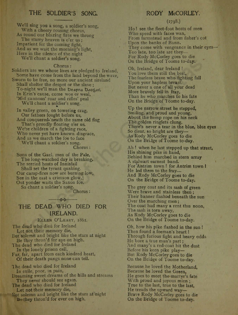## THE SOLDIER'S SONG.

We'll sing you a song, a soldier's song, With a cheery rousing chorus, As round our blazing fires we throng The starry heaven is o'er us ; Impatient for the coming fight, And as we wait the morning's light, Here in the silence of the night We'll chant a soldier's song.

#### Chorus :

Soldiers are we whose lives are pledged to Ireland, Some have come from the land beyond the wave, Sworn to be free, no more our ancient sireland Shall shelter the despot or the slave ; To-night we'll man the Deanna Daotail In Erin's cause, come woe or weal, 'Mid cannons' roar and rifles' peal We'll chant a soldier's song.

In valley green, on towering crag, Our fathers fought before us, And conquered.'neath the same old flag That's proudly floating o'er us. We're children of a fighting race, Who never yet have known disgrace, And as we march the foe to face We'll chant a soldier's song. Chorus :

Sons of the Gael, men of the Pale, The long-watched day is breaking. The serried hosts of Innisfail Shall set the tyrant quaking. Our camp-fires now are burning low, See in the east a crimson glow.J Out yonder waits the Saxon foe. So chant a soldier's song.

Chorus :

## THE DEAD WHO DIED FOR IRELAND.

Ellen O'Leary, 1861.

The dead who died for Ireland Let not their memory die, But solemn and bright like the stars at night Be they thron'd for aye on high. The dead who died for Ireland In the lonely prison cell,<br>Far, far, apart from each kindred heart Of their death pangs none can tell.

The dead who died for Ireland In exile, poor, in pain,

Dreaming sweet dreams of the hills and streams They never should see again.

The dead who died for Ireland Let not their memory die,

Sut solemn and bright like the stars at night Be they thron'd for ever on high.

#### RODY McCORLEY.

#### (1798.)

Ho ! see the fleet-foot hosts of men Who speed with faces wan, From farmstead and from fisher's cot Upon the banks of Bann. They come with vengeance in their eyes— Too late, too late are they— For Rody McCorley goes to die On the Bridge of Toome to-day.

Oh, Ireland, dear Ireland ! You love them still the best, The fearless brave who fighting fall Upon your hapless breast. But never a one of all your dead More bravely fell in fray, Than he who marches to his fate On the Bridge of 'loome to-day.

Up the narrow street he stepped, Smiling, and proud and young, About the hemp rope on his neck The golden ringlets clung. There's never a tear in the blue, blue eyes So clear, so bright are they— As Rody McCorley goes to die On the Bridge of Toome to-day.

Ah ! when he last stepped up that street, His shining pike in hand, Behind him marched in stern array A stalwart earnest band. For'Antrim town ! for Antrim town I He led them to the fray— And Rody McCorley goes to die On the Bridge of Toome to-day.

The grey coat and its sash of green Were brave and stainless then ; Their banner flashod beneath the sun Over the marching men ; The coat had many a rent this noon, The sash is torn away, As Rody McCorley goes to die On the Bridge of Toome to-day.

Oh, how his pike flashed in the sun ! Then found a foeman's heart 1 Through furious fight and heavy odds He bore a true man's part ; And many's a red-coat bit the dust Before his keen pike play-But Rody McCorley goes to die On the Bridge of Toome to-day.

Because he loved the Motherland, Because he loved the Green, He goes to meet the martyr's fate With proud and joyous mien ; True to the last, true to the last, He treads the upward way— Brave Rody McCorley goes to die On the Bridge of Toome to-day.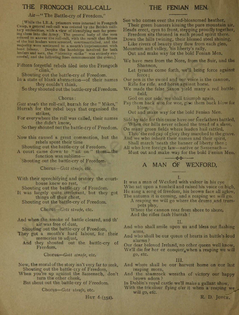### THE FRONGOCH ROLL-CALL

#### Air-" The Battle-cry of Freedom."

\_W hile the I.R.A. prisoners were interned in Fronpoch Camp, a general roll-call was ordered hy the British miliasty authorities, with a view of identifying men for pressing them into the Army. The general body of the men<br>ing them into the Army. The general body of the men<br>refused to answer the roll-call, with the result that fiftee majority were sentenced to a month's imprisonment with mard Inbour. Despite the hardships involved for both leaders and men, the "identity strike" was entirely successful, and the following lines commemorate the event.]

Fifteen forgetful rebels filed into the Frongoch "clink,"

Shouting out the battle-cry of Freedom.

In a state of blank abstraction—of their names they couldn't think,

So they shouted out the battle-cry of Freedom.

#### Chorus :

Gott strafe the roll-call, hurrah for the " Mikes," Hurrah for the rebel boys that organised the

strikes,

For everywhere the roll was called, their names the didn't know,

So they shouted out the battle-cry of Freedom.

Now this caused a great commotion, but the rebels spent their time

Shouting out the battle-cry of Freedom.

A court came down to "sit on" them—the function was sublime—

Shouting out the battle-cry of Freedom-

Chorus—Gott strafe, etc.

With their speechifying and oratory the courthouse knew no rest,

Shouting out the battle-cry of Freedom.

It was largely quite irrelevant, but they got things off their chest.

Shouting out the battle-cry of Freedom.

Chorus—Gott strafe, etc.

And when the smoke of battle cleared, and th' air was free of dust,

- Shouting out the battle-cry of Freedom, They got a month's hard labour, for their memories to adjust,
	- And they shouted out the battle-cry of Freedom.

Chorus— Gott strafe, etc.

Now, the moral of the story isn't very far to seek, Shouting out the battle-cry of Freedom,

When you're up against the Sassenach, don't turn the other cheek,

But shout out the battle-cry of Freedom.

Chorus—Gott strafe, etc.

Hut 6 (352).

#### THE FENIAN MEN.

See who comes over the red-blossomed heather, Their green banners kissing the pure mountain air,

Heads erect, eyes to front, stepping proudly together, Freedom sits throned in each proud spirit there.

Down the hills twining, their blessed steel shining,

Like rivers of beauty they flow from each glen, Mountain and valley, 'tis liberty's rally.

Out and make way for the bold Fenian Men.

- We have men from the Nore, from the Suir, and the Shannon,
	- Let tyrants come forth, we'll bring force against force ;
- Our pen is the sword and our voice is the cannon, Rifle for rifle, and horse against horse.
- We made the false Saxon yield many a red battleheld,

God on our side, wc shall triumph again,

Pay them back woe for woe, give them back blow for blow,

Out and make way for the bold Fenian Men,

Side by side for this cause have our forefathers battled, When our hills never echoed the tread of a slave,

On many green fields where leaden hail rattled,

Thro' the red gap of glory they marched to the grave. And we who inherit their names and their spirit,

Shall march 'neath the banner of liberty then ; All who love foreign law—native or Sassenach-

Must out and make way for the bold Fenian Men.

#### MAN OF WEXFORD.

It was a man of Wexford with valour in his eye Who sat upon a tumbril and raised his voice on high, He sang a song of freedom, his brown face all aglow, The autumn it is coming, and a reaping we will go.

- A reaping we will go where the drums and trumpets play,
	- Where the cannon roar from shore to shore. And the rifles flash Hurrah !

- II. And who shall smile upon us and bless our flashing
- And who shall be our queen of hearts in battle's loud alarms ?

Our dear beloved Ireland, no other queen well know,

We'll die for her or conquer, when a reaping we will go, etc.

III.

- And where shall be our harvest home on our last reaping morn,
- And the shamrock wreaths of victory our happy brows adorn?
- In Dublin's royal castle we'll make a gallant show,
- With the tricolour flying o'er it when a reaping we will go, etc.

R. D. JOYCE.